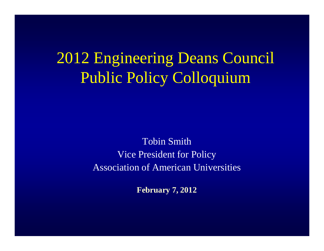2012 Engineering Deans Council Public Policy Colloquium

> Tobin SmithVice President for PolicyAssociation of American Universities

> > **February 7, 2012**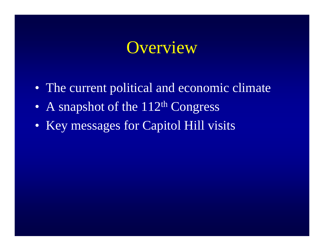#### **Overview**

- The current political and economic climate
- •A snapshot of the 112th Congress
- Key messages for Capitol Hill visits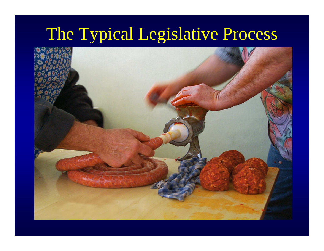## The Typical Legislative Process

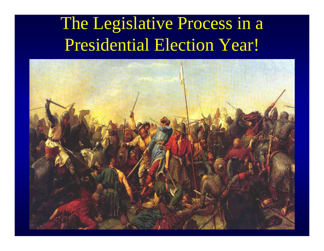# The Legislative Process in a Presidential Election Year!

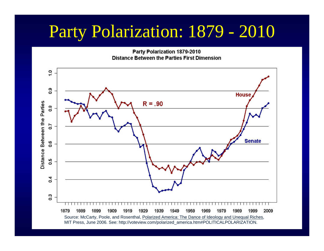### Party Polarization: 1879 - 2010

Party Polarization 1879-2010 **Distance Between the Parties First Dimension** 

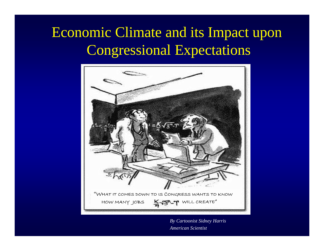#### Economic Climate and its Impact uponCongressional Expectations



*By Cartoonist Sidney HarrisAmerican Scientist*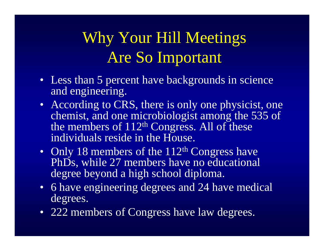### Why Your Hill Meetings Are So Important

- Less than 5 percent have backgrounds in science and engineering.
- According to CRS, there is only one physicist, one chemist, and one microbiologist among the 535 of the members of  $112<sup>th</sup>$  Congress. All of these individuals reside in the House.
- $\bullet$ Only 18 members of the 112<sup>th</sup> Congress have PhDs, while 27 members have no educational degree beyond a high school diploma.
- 6 have engineering degrees and 24 have medical degrees.
- 222 members of Congress have law degrees.